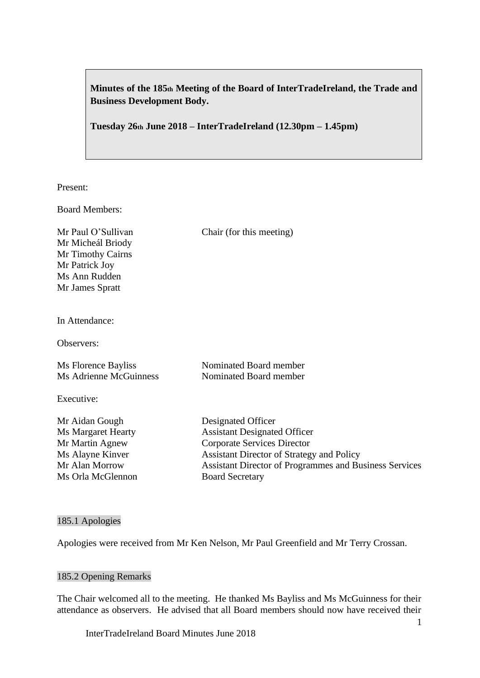**Minutes of the 185th Meeting of the Board of InterTradeIreland, the Trade and Business Development Body.**

**Tuesday 26th June 2018 – InterTradeIreland (12.30pm – 1.45pm)**

Present:

Board Members:

Mr Micheál Briody Mr Timothy Cairns Mr Patrick Joy Ms Ann Rudden Mr James Spratt

Mr Paul O'Sullivan Chair (for this meeting)

In Attendance:

Observers:

| Ms Florence Bayliss    | Nominated Board member |
|------------------------|------------------------|
| Ms Adrienne McGuinness | Nominated Board member |

Executive:

Ms Orla McGlennon Board Secretary

Mr Aidan Gough Designated Officer Ms Margaret Hearty Assistant Designated Officer Mr Martin Agnew Corporate Services Director Ms Alayne Kinver Assistant Director of Strategy and Policy Mr Alan Morrow Assistant Director of Programmes and Business Services

### 185.1 Apologies

Apologies were received from Mr Ken Nelson, Mr Paul Greenfield and Mr Terry Crossan.

### 185.2 Opening Remarks

The Chair welcomed all to the meeting. He thanked Ms Bayliss and Ms McGuinness for their attendance as observers. He advised that all Board members should now have received their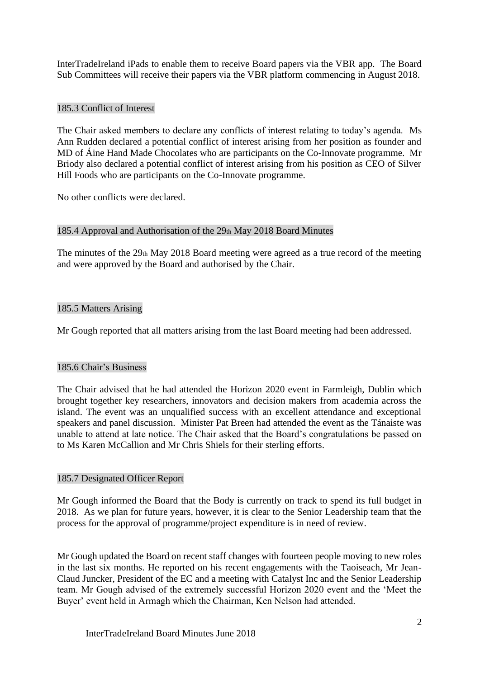InterTradeIreland iPads to enable them to receive Board papers via the VBR app. The Board Sub Committees will receive their papers via the VBR platform commencing in August 2018.

## 185.3 Conflict of Interest

The Chair asked members to declare any conflicts of interest relating to today's agenda. Ms Ann Rudden declared a potential conflict of interest arising from her position as founder and MD of Áine Hand Made Chocolates who are participants on the Co-Innovate programme. Mr Briody also declared a potential conflict of interest arising from his position as CEO of Silver Hill Foods who are participants on the Co-Innovate programme.

No other conflicts were declared.

## 185.4 Approval and Authorisation of the 29th May 2018 Board Minutes

The minutes of the 29th May 2018 Board meeting were agreed as a true record of the meeting and were approved by the Board and authorised by the Chair.

## 185.5 Matters Arising

Mr Gough reported that all matters arising from the last Board meeting had been addressed.

### 185.6 Chair's Business

The Chair advised that he had attended the Horizon 2020 event in Farmleigh, Dublin which brought together key researchers, innovators and decision makers from academia across the island. The event was an unqualified success with an excellent attendance and exceptional speakers and panel discussion. Minister Pat Breen had attended the event as the Tánaiste was unable to attend at late notice. The Chair asked that the Board's congratulations be passed on to Ms Karen McCallion and Mr Chris Shiels for their sterling efforts.

### 185.7 Designated Officer Report

Mr Gough informed the Board that the Body is currently on track to spend its full budget in 2018. As we plan for future years, however, it is clear to the Senior Leadership team that the process for the approval of programme/project expenditure is in need of review.

Mr Gough updated the Board on recent staff changes with fourteen people moving to new roles in the last six months. He reported on his recent engagements with the Taoiseach, Mr Jean-Claud Juncker, President of the EC and a meeting with Catalyst Inc and the Senior Leadership team. Mr Gough advised of the extremely successful Horizon 2020 event and the 'Meet the Buyer' event held in Armagh which the Chairman, Ken Nelson had attended.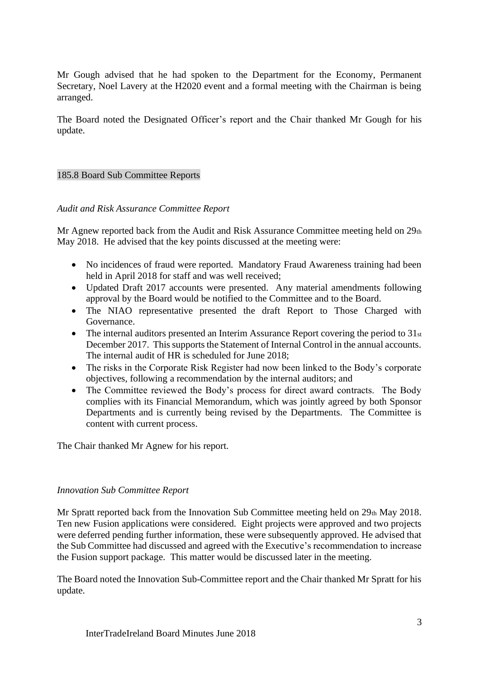Mr Gough advised that he had spoken to the Department for the Economy, Permanent Secretary, Noel Lavery at the H2020 event and a formal meeting with the Chairman is being arranged.

The Board noted the Designated Officer's report and the Chair thanked Mr Gough for his update.

# 185.8 Board Sub Committee Reports

### *Audit and Risk Assurance Committee Report*

Mr Agnew reported back from the Audit and Risk Assurance Committee meeting held on  $29<sub>th</sub>$ May 2018. He advised that the key points discussed at the meeting were:

- No incidences of fraud were reported. Mandatory Fraud Awareness training had been held in April 2018 for staff and was well received;
- Updated Draft 2017 accounts were presented. Any material amendments following approval by the Board would be notified to the Committee and to the Board.
- The NIAO representative presented the draft Report to Those Charged with Governance.
- The internal auditors presented an Interim Assurance Report covering the period to 31st December 2017. This supports the Statement of Internal Control in the annual accounts. The internal audit of HR is scheduled for June 2018;
- The risks in the Corporate Risk Register had now been linked to the Body's corporate objectives, following a recommendation by the internal auditors; and
- The Committee reviewed the Body's process for direct award contracts. The Body complies with its Financial Memorandum, which was jointly agreed by both Sponsor Departments and is currently being revised by the Departments. The Committee is content with current process.

The Chair thanked Mr Agnew for his report.

### *Innovation Sub Committee Report*

Mr Spratt reported back from the Innovation Sub Committee meeting held on 29th May 2018. Ten new Fusion applications were considered. Eight projects were approved and two projects were deferred pending further information, these were subsequently approved. He advised that the Sub Committee had discussed and agreed with the Executive's recommendation to increase the Fusion support package. This matter would be discussed later in the meeting.

The Board noted the Innovation Sub-Committee report and the Chair thanked Mr Spratt for his update.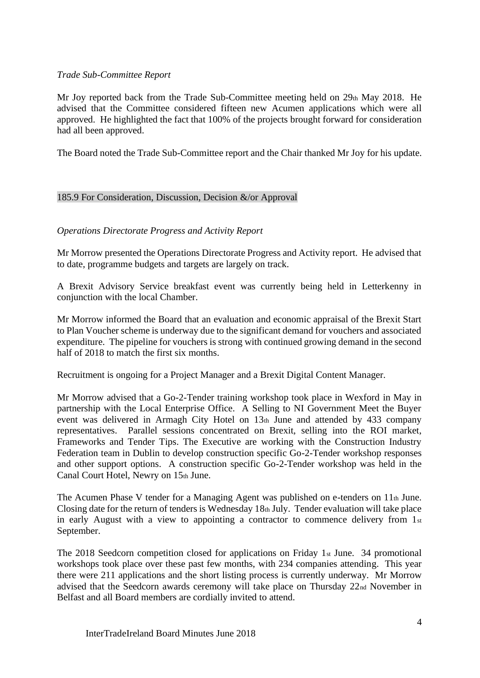## *Trade Sub-Committee Report*

Mr Joy reported back from the Trade Sub-Committee meeting held on 29th May 2018. He advised that the Committee considered fifteen new Acumen applications which were all approved. He highlighted the fact that 100% of the projects brought forward for consideration had all been approved.

The Board noted the Trade Sub-Committee report and the Chair thanked Mr Joy for his update.

## 185.9 For Consideration, Discussion, Decision &/or Approval

## *Operations Directorate Progress and Activity Report*

Mr Morrow presented the Operations Directorate Progress and Activity report. He advised that to date, programme budgets and targets are largely on track.

A Brexit Advisory Service breakfast event was currently being held in Letterkenny in conjunction with the local Chamber.

Mr Morrow informed the Board that an evaluation and economic appraisal of the Brexit Start to Plan Voucher scheme is underway due to the significant demand for vouchers and associated expenditure. The pipeline for vouchers is strong with continued growing demand in the second half of 2018 to match the first six months.

Recruitment is ongoing for a Project Manager and a Brexit Digital Content Manager.

Mr Morrow advised that a Go-2-Tender training workshop took place in Wexford in May in partnership with the Local Enterprise Office. A Selling to NI Government Meet the Buyer event was delivered in Armagh City Hotel on 13th June and attended by 433 company representatives. Parallel sessions concentrated on Brexit, selling into the ROI market, Frameworks and Tender Tips. The Executive are working with the Construction Industry Federation team in Dublin to develop construction specific Go-2-Tender workshop responses and other support options. A construction specific Go-2-Tender workshop was held in the Canal Court Hotel, Newry on 15th June.

The Acumen Phase V tender for a Managing Agent was published on e-tenders on 11th June. Closing date for the return of tenders is Wednesday 18th July. Tender evaluation will take place in early August with a view to appointing a contractor to commence delivery from 1st September.

The 2018 Seedcorn competition closed for applications on Friday 1st June. 34 promotional workshops took place over these past few months, with 234 companies attending. This year there were 211 applications and the short listing process is currently underway. Mr Morrow advised that the Seedcorn awards ceremony will take place on Thursday 22nd November in Belfast and all Board members are cordially invited to attend.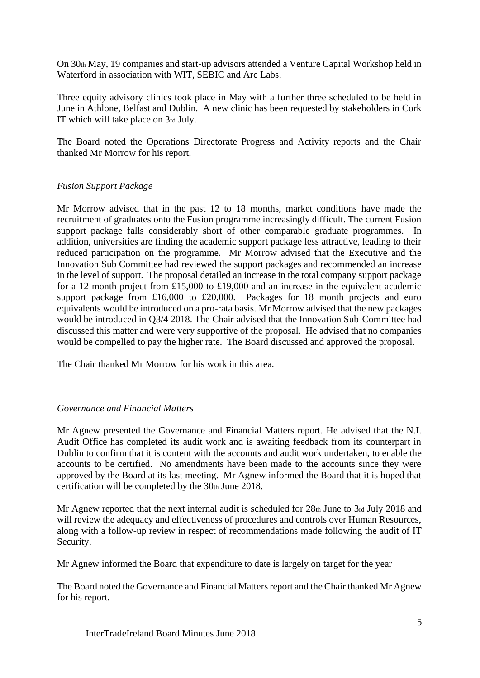On 30th May, 19 companies and start-up advisors attended a Venture Capital Workshop held in Waterford in association with WIT, SEBIC and Arc Labs.

Three equity advisory clinics took place in May with a further three scheduled to be held in June in Athlone, Belfast and Dublin. A new clinic has been requested by stakeholders in Cork IT which will take place on 3rd July.

The Board noted the Operations Directorate Progress and Activity reports and the Chair thanked Mr Morrow for his report.

# *Fusion Support Package*

Mr Morrow advised that in the past 12 to 18 months, market conditions have made the recruitment of graduates onto the Fusion programme increasingly difficult. The current Fusion support package falls considerably short of other comparable graduate programmes. In addition, universities are finding the academic support package less attractive, leading to their reduced participation on the programme. Mr Morrow advised that the Executive and the Innovation Sub Committee had reviewed the support packages and recommended an increase in the level of support. The proposal detailed an increase in the total company support package for a 12-month project from £15,000 to £19,000 and an increase in the equivalent academic support package from £16,000 to £20,000. Packages for 18 month projects and euro equivalents would be introduced on a pro-rata basis. Mr Morrow advised that the new packages would be introduced in Q3/4 2018. The Chair advised that the Innovation Sub-Committee had discussed this matter and were very supportive of the proposal. He advised that no companies would be compelled to pay the higher rate. The Board discussed and approved the proposal.

The Chair thanked Mr Morrow for his work in this area.

### *Governance and Financial Matters*

Mr Agnew presented the Governance and Financial Matters report. He advised that the N.I. Audit Office has completed its audit work and is awaiting feedback from its counterpart in Dublin to confirm that it is content with the accounts and audit work undertaken, to enable the accounts to be certified. No amendments have been made to the accounts since they were approved by the Board at its last meeting. Mr Agnew informed the Board that it is hoped that certification will be completed by the  $30<sub>th</sub>$  June 2018.

Mr Agnew reported that the next internal audit is scheduled for  $28<sub>th</sub>$  June to  $3<sub>rd</sub>$  July 2018 and will review the adequacy and effectiveness of procedures and controls over Human Resources, along with a follow-up review in respect of recommendations made following the audit of IT Security.

Mr Agnew informed the Board that expenditure to date is largely on target for the year

The Board noted the Governance and Financial Matters report and the Chair thanked Mr Agnew for his report.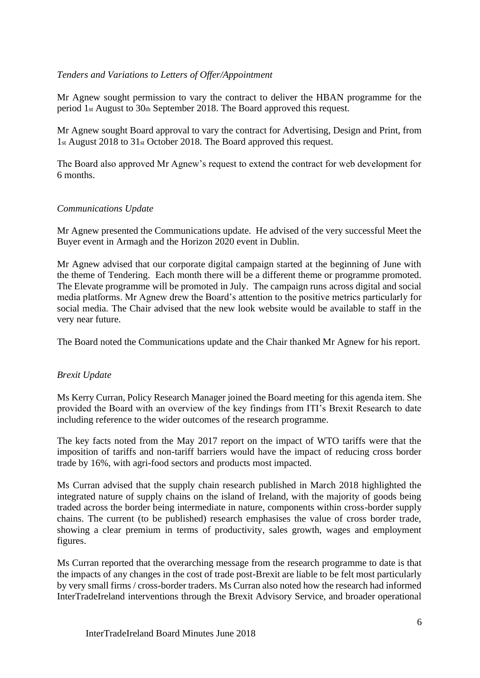# *Tenders and Variations to Letters of Offer/Appointment*

Mr Agnew sought permission to vary the contract to deliver the HBAN programme for the period 1st August to 30th September 2018. The Board approved this request.

Mr Agnew sought Board approval to vary the contract for Advertising, Design and Print, from 1st August 2018 to 31st October 2018. The Board approved this request.

The Board also approved Mr Agnew's request to extend the contract for web development for 6 months.

# *Communications Update*

Mr Agnew presented the Communications update. He advised of the very successful Meet the Buyer event in Armagh and the Horizon 2020 event in Dublin.

Mr Agnew advised that our corporate digital campaign started at the beginning of June with the theme of Tendering. Each month there will be a different theme or programme promoted. The Elevate programme will be promoted in July. The campaign runs across digital and social media platforms. Mr Agnew drew the Board's attention to the positive metrics particularly for social media. The Chair advised that the new look website would be available to staff in the very near future.

The Board noted the Communications update and the Chair thanked Mr Agnew for his report.

# *Brexit Update*

Ms Kerry Curran, Policy Research Manager joined the Board meeting for this agenda item. She provided the Board with an overview of the key findings from ITI's Brexit Research to date including reference to the wider outcomes of the research programme.

The key facts noted from the May 2017 report on the impact of WTO tariffs were that the imposition of tariffs and non-tariff barriers would have the impact of reducing cross border trade by 16%, with agri-food sectors and products most impacted.

Ms Curran advised that the supply chain research published in March 2018 highlighted the integrated nature of supply chains on the island of Ireland, with the majority of goods being traded across the border being intermediate in nature, components within cross-border supply chains. The current (to be published) research emphasises the value of cross border trade, showing a clear premium in terms of productivity, sales growth, wages and employment figures.

Ms Curran reported that the overarching message from the research programme to date is that the impacts of any changes in the cost of trade post-Brexit are liable to be felt most particularly by very small firms / cross-border traders. Ms Curran also noted how the research had informed InterTradeIreland interventions through the Brexit Advisory Service, and broader operational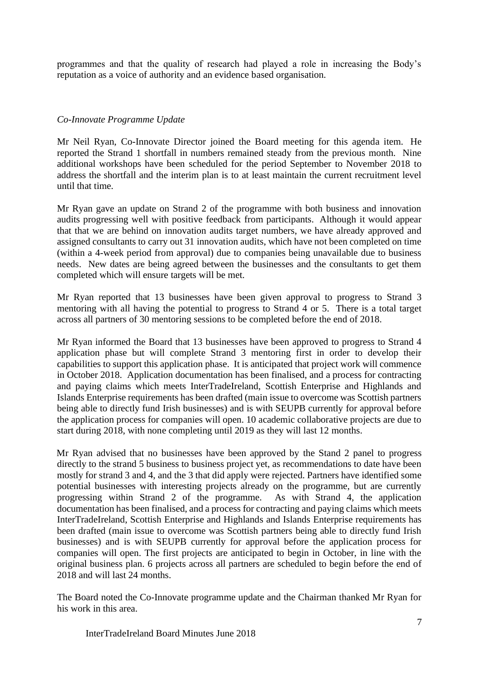programmes and that the quality of research had played a role in increasing the Body's reputation as a voice of authority and an evidence based organisation.

# *Co-Innovate Programme Update*

Mr Neil Ryan, Co-Innovate Director joined the Board meeting for this agenda item. He reported the Strand 1 shortfall in numbers remained steady from the previous month. Nine additional workshops have been scheduled for the period September to November 2018 to address the shortfall and the interim plan is to at least maintain the current recruitment level until that time.

Mr Ryan gave an update on Strand 2 of the programme with both business and innovation audits progressing well with positive feedback from participants. Although it would appear that that we are behind on innovation audits target numbers, we have already approved and assigned consultants to carry out 31 innovation audits, which have not been completed on time (within a 4-week period from approval) due to companies being unavailable due to business needs. New dates are being agreed between the businesses and the consultants to get them completed which will ensure targets will be met.

Mr Ryan reported that 13 businesses have been given approval to progress to Strand 3 mentoring with all having the potential to progress to Strand 4 or 5. There is a total target across all partners of 30 mentoring sessions to be completed before the end of 2018.

Mr Ryan informed the Board that 13 businesses have been approved to progress to Strand 4 application phase but will complete Strand 3 mentoring first in order to develop their capabilities to support this application phase. It is anticipated that project work will commence in October 2018. Application documentation has been finalised, and a process for contracting and paying claims which meets InterTradeIreland, Scottish Enterprise and Highlands and Islands Enterprise requirements has been drafted (main issue to overcome was Scottish partners being able to directly fund Irish businesses) and is with SEUPB currently for approval before the application process for companies will open. 10 academic collaborative projects are due to start during 2018, with none completing until 2019 as they will last 12 months.

Mr Ryan advised that no businesses have been approved by the Stand 2 panel to progress directly to the strand 5 business to business project yet, as recommendations to date have been mostly for strand 3 and 4, and the 3 that did apply were rejected. Partners have identified some potential businesses with interesting projects already on the programme, but are currently progressing within Strand 2 of the programme. As with Strand 4, the application documentation has been finalised, and a process for contracting and paying claims which meets InterTradeIreland, Scottish Enterprise and Highlands and Islands Enterprise requirements has been drafted (main issue to overcome was Scottish partners being able to directly fund Irish businesses) and is with SEUPB currently for approval before the application process for companies will open. The first projects are anticipated to begin in October, in line with the original business plan. 6 projects across all partners are scheduled to begin before the end of 2018 and will last 24 months.

The Board noted the Co-Innovate programme update and the Chairman thanked Mr Ryan for his work in this area.